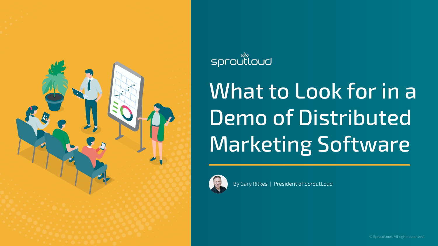© SproutLoud. All rights reserved.



By Gary Ritkes | President of SproutLoud



#### 

## What to Look for in a Demo of Distributed Marketing Software

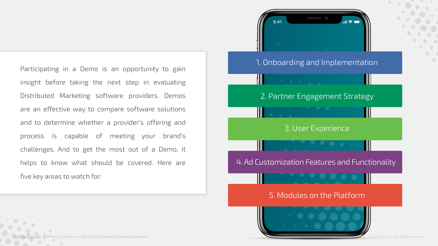Participating in a Demo is an opportunity to gain insight before taking the next step in evaluating Distributed Marketing software providers. Demos are an effective way to compare software solutions and to determine whether a provider's offering and process is capable of meeting your brand's challenges. And to get the most out of a Demo, it helps to know what should be covered. Here are five key areas to watch for:



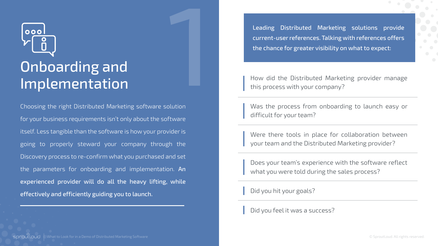Leading Distributed Marketing solutions provide current-user references. Talking with references offers the chance for greater visibility on what to expect:

### 000 Onboarding and Implementation

Choosing the right Distributed Marketing software solution for your business requirements isn't only about the software itself. Less tangible than the software is how your provider is going to properly steward your company through the Discovery process to re-confirm what you purchased and set the parameters for onboarding and implementation. An experienced provider will do all the heavy lifting, while effectively and efficiently guiding you to launch. 1

How did the Distributed Marketing provider manage this process with your company?

Was the process from onboarding to launch easy or difficult for your team?

Were there tools in place for collaboration between your team and the Distributed Marketing provider?

Does your team's experience with the software reflect what you were told during the sales process?

Did you hit your goals?

Did you feel it was a success?

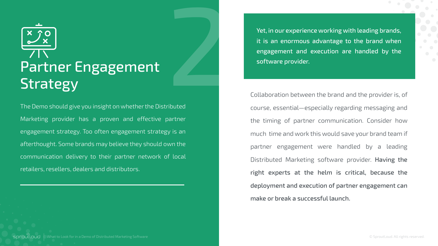The Demo should give you insight on whether the Distributed Marketing provider has a proven and effective partner engagement strategy. Too often engagement strategy is an afterthought. Some brands may believe they should own the communication delivery to their partner network of local retailers, resellers, dealers and distributors.

What to Look for in a Demo of Distributed Marketing Software sproutloud

External Yet, in our experience working with leading brands,<br>
it is an enormous advantage to the brand when<br>
engagement and execution are handled by the<br>
software provider.<br>
Collaboration between the brand and the provider it is an enormous advantage to the brand when engagement and execution are handled by the software provider.

Collaboration between the brand and the provider is, of course, essential—especially regarding messaging and the timing of partner communication. Consider how much time and work this would save your brand team if partner engagement were handled by a leading Distributed Marketing software provider. Having the right experts at the helm is critical, because the deployment and execution of partner engagement can make or break a successful launch.

# Partner Engagement Strategy

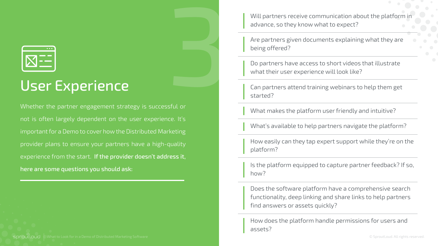

#### User Experience

Will partners receive communication about the platform in advance, so they know what to expect?

Are partners given documents explaining what they are being offered?

Do partners have access to short videos that illustrate what their user experience will look like?

Whether the partner engagement strategy is successful or not is often largely dependent on the user experience. It's important for a Demo to cover how the Distributed Marketing provider plans to ensure your partners have a high-quality experience from the start. If the provider doesn't address it, here are some questions you should ask: 3

Can partners attend training webinars to help them get started?

What makes the platform user friendly and intuitive?

What's available to help partners navigate the platform?

How easily can they tap expert support while they're on the platform?

Is the platform equipped to capture partner feedback? If so, how?

Does the software platform have a comprehensive search functionality, deep linking and share links to help partners find answers or assets quickly?

How does the platform handle permissions for users and assets?

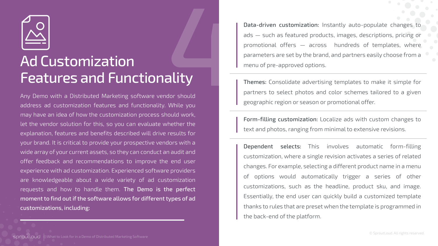Any Demo with a Distributed Marketing software vendor should address ad customization features and functionality. While you may have an idea of how the customization process should work, let the vendor solution for this, so you can evaluate whether the explanation, features and benefits described will drive results for your brand. It is critical to provide your prospective vendors with a wide array of your current assets, so they can conduct an audit and offer feedback and recommendations to improve the end user experience with ad customization. Experienced software providers are knowledgeable about a wide variety of ad customization requests and how to handle them. The Demo is the perfect moment to find out if the software allows for different types of ad customizations, including:

Data-driven customization: Instantly auto-populate changes to ads — such as featured products, images, descriptions, pricing or promotional offers — across hundreds of templates, where parameters are set by the brand, and partners easily choose from a menu of pre-approved options.

Themes: Consolidate advertising templates to make it simple for partners to select photos and color schemes tailored to a given geographic region or season or promotional offer.

Form-filling customization: Localize ads with custom changes to text and photos, ranging from minimal to extensive revisions.

Dependent selects: This involves automatic form-filling customization, where a single revision activates a series of related changes. For example, selecting a different product name in a menu options would automatically trigger a series of other customizations, such as the headline, product sku, and image. Essentially, the end user can quickly build a customized template thanks to rules that are preset when the template is programmed in the back-end of the platform.



# Ad Customization Features and Functionality 4

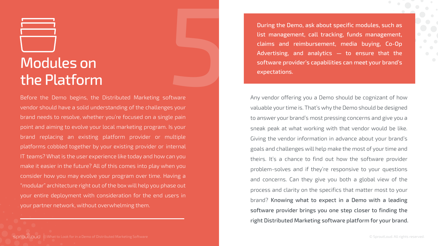## Modules on the Platform

Before the Demo begins, the Distributed Marketing software vendor should have a solid understanding of the challenges your brand needs to resolve, whether you're focused on a single pain point and aiming to evolve your local marketing program. Is your brand replacing an existing platform provider or multiple platforms cobbled together by your existing provider or internal IT teams? What is the user experience like today and how can you make it easier in the future? All of this comes into play when you consider how you may evolve your program over time. Having a "modular" architecture right out of the box will help you phase out your entire deployment with consideration for the end users in your partner network, without overwhelming them. of tware<br>State<br>Solution<br>Solution



Any vendor offering you a Demo should be cognizant of how valuable your time is. That's why the Demo should be designed to answer your brand's most pressing concerns and give you a sneak peak at what working with that vendor would be like. Giving the vendor information in advance about your brand's goals and challenges will help make the most of your time and theirs. It's a chance to find out how the software provider problem-solves and if they're responsive to your questions and concerns. Can they give you both a global view of the process and clarity on the specifics that matter most to your brand? Knowing what to expect in a Demo with a leading software provider brings you one step closer to finding the right Distributed Marketing software platform for your brand.

During the Demo, ask about specific modules, such as list management, call tracking, funds management, claims and reimbursement, media buying, Co-Op Advertising, and analytics — to ensure that the software provider's capabilities can meet your brand's expectations.